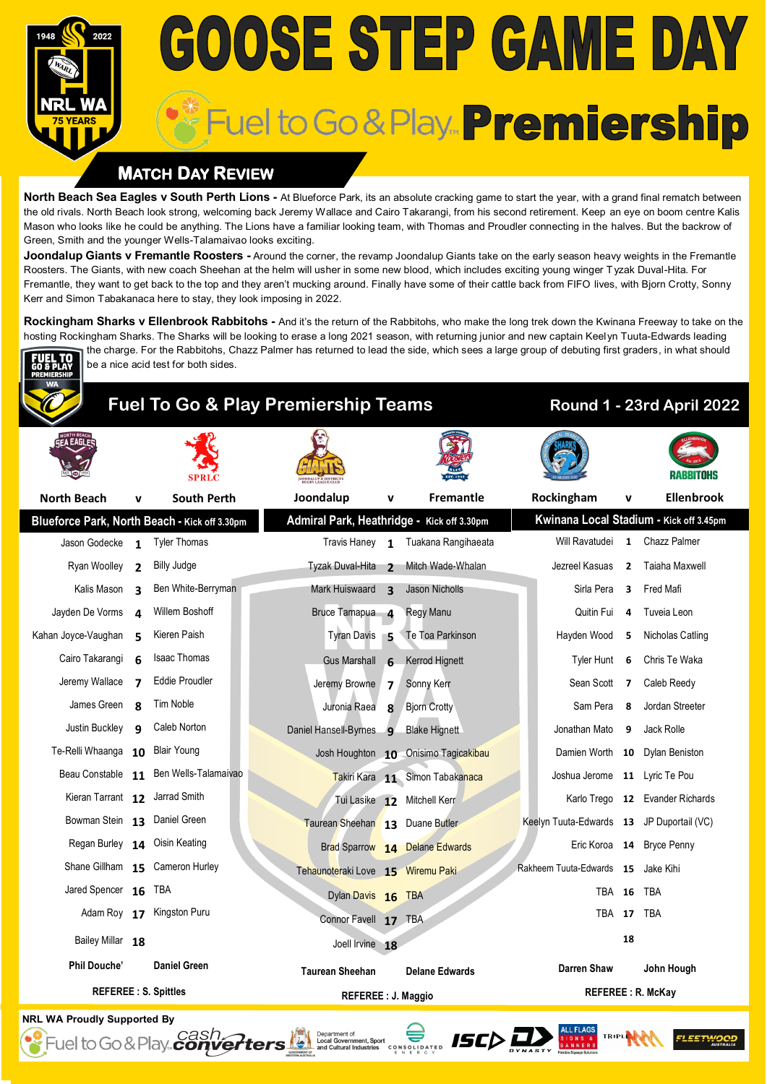# GOOSE STEP GAME DAY Fuel to Go & Play... Premiership

### **MATCH DAY REVIEW**

be a nice acid test for both sides.

iuel to Go & Play... *cash...*<br>Fuel to Go & Play... *converters* 

**North Beach Sea Eagles v South Perth Lions -** At Blueforce Park, its an absolute cracking game to start the year, with a grand final rematch between the old rivals. North Beach look strong, welcoming back Jeremy Wallace and Cairo Takarangi, from his second retirement. Keep an eye on boom centre Kalis Mason who looks like he could be anything. The Lions have a familiar looking team, with Thomas and Proudler connecting in the halves. But the backrow of Green, Smith and the younger Wells-Talamaivao looks exciting.

**Joondalup Giants v Fremantle Roosters -** Around the corner, the revamp Joondalup Giants take on the early season heavy weights in the Fremantle Roosters. The Giants, with new coach Sheehan at the helm will usher in some new blood, which includes exciting young winger Tyzak Duval-Hita. For Fremantle, they want to get back to the top and they aren't mucking around. Finally have some of their cattle back from FIFO lives, with Bjorn Crotty, Sonny Kerr and Simon Tabakanaca here to stay, they look imposing in 2022.

**Rockingham Sharks v Ellenbrook Rabbitohs** - And it's the return of the Rabbitohs, who make the long trek down the Kwinana Freeway to take on the hosting Rockingham Sharks. The Sharks will be looking to erase a long 2021 season, with returning junior and new captain Keelyn Tuuta-Edwards leading the charge. For the Rabbitohs, Chazz Palmer has returned to lead the side, which sees a large group of debuting first graders, in what should



# **Fuel To Go & Play Premiership Teams Round 1 - 23rd April 2022**

| <b>A EAGLE</b>                     |                | <b>SPRLC</b>                                  |                                            |                         |                                      |  |                                           |                | RABBITORS                               |
|------------------------------------|----------------|-----------------------------------------------|--------------------------------------------|-------------------------|--------------------------------------|--|-------------------------------------------|----------------|-----------------------------------------|
| <b>North Beach</b>                 | v              | <b>South Perth</b>                            | Joondalup                                  | v                       | Fremantle                            |  | Rockingham                                | v              | Ellenbrook                              |
|                                    |                | Blueforce Park, North Beach - Kick off 3.30pm | Admiral Park, Heathridge - Kick off 3.30pm |                         |                                      |  |                                           |                | Kwinana Local Stadium - Kick off 3.45pm |
| Jason Godecke                      | $\mathbf{1}$   | <b>Tyler Thomas</b>                           | Travis Haney 1                             |                         | Tuakana Rangihaeata                  |  | Will Ravatudei                            |                | 1 Chazz Palmer                          |
| Ryan Woolley                       | $\overline{2}$ | Billy Judge                                   | Tyzak Duval-Hita                           | $\overline{\mathbf{z}}$ | Mitch Wade-Whalan                    |  | Jezreel Kasuas                            | $\overline{2}$ | Taiaha Maxwell                          |
| Kalis Mason                        | $\mathbf{3}$   | Ben White-Berryman                            | Mark Huiswaard                             | $\overline{\mathbf{3}}$ | Jason Nicholls                       |  | Sirla Pera                                | 3              | Fred Mafi                               |
| Jayden De Vorms                    | $\Delta$       | Willem Boshoff                                | Bruce Tamapua 4                            |                         | Regy Manu                            |  | Quitin Fui                                | 4              | Tuveia Leon                             |
| Kahan Joyce-Vaughan                | 5              | Kieren Paish                                  | <b>Tyran Davis</b>                         | - 5                     | Te Toa Parkinson                     |  | Hayden Wood                               | 5              | Nicholas Catling                        |
| Cairo Takarangi                    | 6              | Isaac Thomas                                  | <b>Gus Marshall</b>                        | $-6$                    | Kerrod Hignett                       |  | Tyler Hunt                                | 6              | Chris Te Waka                           |
| Jeremy Wallace                     | 7              | <b>Eddie Proudler</b>                         | Jeremy Browne                              | $\overline{\mathbf{z}}$ | Sonny Kerr                           |  | Sean Scott                                | -7             | Caleb Reedy                             |
| James Green                        | R              | Tim Noble                                     | Juronia Raea                               | 8                       | <b>Bjorn Crotty</b>                  |  | Sam Pera                                  | 8              | Jordan Streeter                         |
| Justin Buckley                     | q              | Caleb Norton                                  | Daniel Hansell-Byrnes                      | $\mathbf{q}$            | <b>Blake Hignett</b>                 |  | Jonathan Mato                             | 9              | Jack Rolle                              |
| Te-Relli Whaanga 10 Blair Young    |                |                                               |                                            |                         | Josh Houghton 10 Onisimo Tagicakibau |  |                                           |                | Damien Worth 10 Dylan Beniston          |
|                                    |                | Beau Constable 11 Ben Wells-Talamaivao        |                                            |                         | Takiri Kara 11 Simon Tabakanaca      |  | Joshua Jerome 11 Lyric Te Pou             |                |                                         |
| Kieran Tarrant 12 Jarrad Smith     |                |                                               |                                            |                         | Tui Lasike 12 Mitchell Kerr          |  |                                           |                | Karlo Trego 12 Evander Richards         |
| Bowman Stein 13 Daniel Green       |                |                                               | Taurean Sheehan 13 Duane Butler            |                         |                                      |  | Keelyn Tuuta-Edwards 13 JP Duportail (VC) |                |                                         |
| Regan Burley 14 Oisin Keating      |                |                                               |                                            |                         | Brad Sparrow 14 Delane Edwards       |  |                                           |                | Eric Koroa 14 Bryce Penny               |
|                                    |                | Shane Gillham 15 Cameron Hurley               | Tehaunoteraki Love 15 Wiremu Paki          |                         |                                      |  | Rakheem Tuuta-Edwards 15 Jake Kihi        |                |                                         |
| Jared Spencer 16 TBA               |                |                                               | Dylan Davis 16 TBA                         |                         |                                      |  | <b>TBA 16</b>                             |                | TBA                                     |
|                                    |                | Adam Roy 17 Kingston Puru                     | Connor Favell 17 TBA                       |                         |                                      |  | TBA 17 TBA                                |                |                                         |
| Bailey Millar 18                   |                |                                               | Joell Irvine 18                            |                         |                                      |  |                                           | 18             |                                         |
| <b>Phil Douche'</b>                |                | <b>Daniel Green</b>                           | <b>Taurean Sheehan</b>                     |                         | <b>Delane Edwards</b>                |  | <b>Darren Shaw</b>                        |                | John Hough                              |
| <b>REFEREE: S. Spittles</b>        |                | REFEREE : J. Maggio                           |                                            |                         | <b>REFEREE: R. McKay</b>             |  |                                           |                |                                         |
| <b>NRL WA Proudly Supported By</b> |                |                                               |                                            |                         |                                      |  |                                           |                |                                         |

CONSOLIDATED **ISC** DE DE DE SI